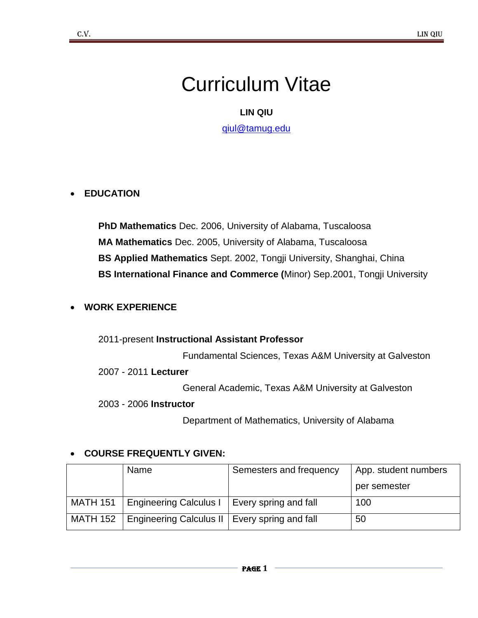# Curriculum Vitae

# **LIN QIU**

[qiul@tamug.edu](mailto:qiul@tamug.edu)

## **EDUCATION**

**PhD Mathematics** Dec. 2006, University of Alabama, Tuscaloosa **MA Mathematics** Dec. 2005, University of Alabama, Tuscaloosa **BS Applied Mathematics** Sept. 2002, Tongji University, Shanghai, China **BS International Finance and Commerce (**Minor) Sep.2001, Tongji University

#### **WORK EXPERIENCE**

#### 2011-present **Instructional Assistant Professor**

Fundamental Sciences, Texas A&M University at Galveston

#### 2007 - 2011 **Lecturer**

General Academic, Texas A&M University at Galveston

2003 - 2006 **Instructor** 

Department of Mathematics, University of Alabama

#### **COURSE FREQUENTLY GIVEN:**

|                 | Name                                            | Semesters and frequency | App. student numbers |
|-----------------|-------------------------------------------------|-------------------------|----------------------|
|                 |                                                 |                         | per semester         |
|                 | MATH 151   Engineering Calculus I               | Every spring and fall   | 100                  |
| <b>MATH 152</b> | Engineering Calculus II   Every spring and fall |                         | 50                   |